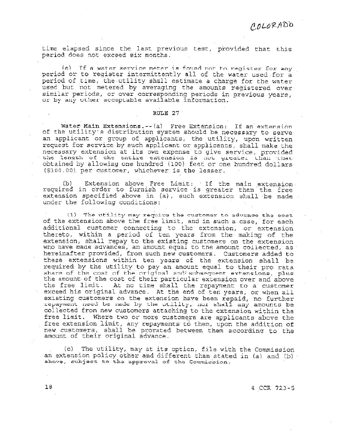time elapsed since the last previous test, provided that this period does not exceed six months.

(e) If a water service meter is found not to register for any period or to register intermittently all of the water used for a period of time, the utility shall estimate a charge for the water used but not metered by averaging the amounts registered over similar periods, or over corresponding periods in previous years, or by any other acceptable available information.

### RULE 27

Water Main Extensions.-- (a) Free Extension: If an extension of the utility's distribution system should be necessary to serve an applicant or group of applicants, the utility, upon written request for service by such applicant or applicants, shall make the necessary extension at its own expense to give service, provided the length of the entire extension is not greater than that obtained by allowing one hundred (100) feet or one hundred dollars (\$100.00) per customer, whichever is the lesser.

Extension above Free Limit: If the main extension.  $(b)$ required in order to furnish service is greater than the free extension specified above in (a), such extension shall be made under the following conditions:

(1) The utility may require the customer to advance the cost of the extension above the free limit, and in such a case, for each additional customer connecting to the extension, or extension thereto, within a period of ten years from the making of the extension, shall repay to the existing customers on the extension<br>who have made advances, an amount equal to the amount collected, as hereinafter provided, from such new customers. Customers added to these extensions within ten years of the extension shall be required by the utility to pay an amount equal to their pro rata share of the cost of the original and subsequent extensions, plus the amount of the cost of their particular extension over and above the free limit. At no time shall the repayment to a customer exceed his original advance. At the end of ten years, or when all existing customers on the extension have been repaid, no further repayment need be made by the utility, nor shall any amounts be collected from new customers attaching to the extension within the free limit. Where two or more customers are applicants above the free extension limit, any repayments to them, upon the addition of new customers, shall be prorated between them according to the amount of their original advance.

(c) The utility, may at its option, file with the Commission an extension policy other and different than stated in (a) and (b) above, subject to the approval of the Commission.

4 CCR 723-5

 $18$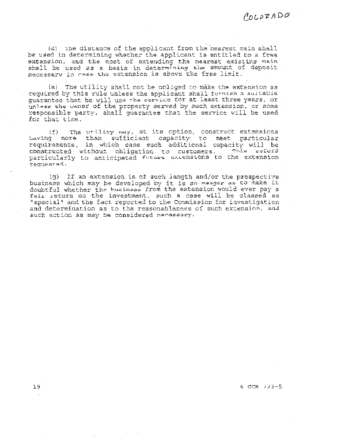(d) The distance of the applicant from the nearest main shall be used in determining whether the applicant is entitled to a free extension, and the cost of extending the nearest existing main shall be used as a basis in determining the amount of deposit

(e) The utility shall not be obliged to make the extension as required by this rule unless the applicant shall furnish a suitable quarantee that he will use the corvice for at least three years, or unless the owner of the property served by such extension, or some responsible party, shall guarantee that the service will be used for that time.

The utility may, at its option, construct extensions  $(fE)$ having more than sufficient capacity to meet particular requirements, in which case such additional capacity will be This refers constructed without obligation to customers. particularly to anticipated future extensions to the extension requested.

(g) If an extension is of such length and/or the prospective business which may be developed by it is so meager as to make it doubtful whether the business from the extension would ever pay a fair return on the investment, such a case will be classed as "special" and the fact reported to the Commission for investigation and determination as to the reasonableness of such extension, and such action as may be considered necessary.

### $4$  CCR  $723 - 5$

COLORADO.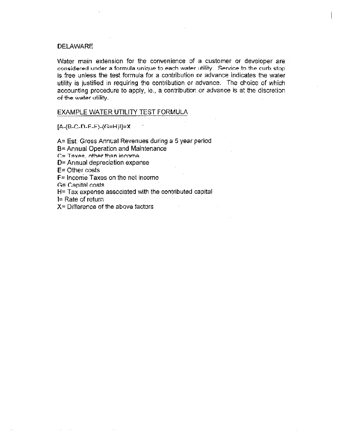**DELAWARE** 

Water main extension for the convenience of a customer or developer are considered under a formula unique to each water utility. Service to the curb stop is free unless the test formula for a contribution or advance indicates the water utility is justified in requiring the contribution or advance. The choice of which accounting procedure to apply, ie., a contribution or advance is at the discretion of the water utility.

EXAMPLE WATER UTILITY TEST FORMULA

 $[A-(B-C-D-E-F)-(G=H)]=X$ 

A= Est. Gross Annual Revenues during a 5 year period

B= Annual Operation and Maintenance

 $C = T$ axes, other than income

D= Annual depreciation expense

 $E =$  Other costs

 $F =$  Income Taxes on the net income

 $G =$  Capital costs

 $H = Tax$  expense associated with the contributed capital

 $I = Rate of return$ 

 $X =$  Difference of the above factors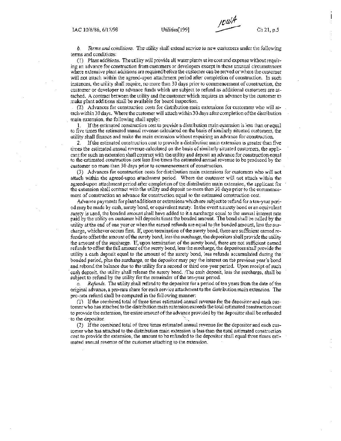b. Terms and conditions. The utility shall extend service to new customers under the following terms and conditions:

(1) Plant additions. The utility will provide all water plants at its cost and expense without requiring an advance for construction from customers or developers except in those unusual circumstances where extensive plant additions are required before the customer can be served or where the customer will not attach within the agreed-upon attachment period after completion of construction. In such instances, the utility shall require, no more than 30 days prior to commencement of construction, the customer or developer to advance funds which are subject to refund as additional customers are attached. A contract between the utility and the customer which requires an advance by the customer to make plant additions shall be available for board inspection.

(2) Advances for construction costs for distribution main extensions for customers who will attach within 30 days. Where the customer will attach within 30 days after completion of the distribution main extension, the following shall apply:

1. If the estimated construction cost to provide a distribution main extension is less than or equal to five times the estimated annual revenue calculated on the basis of similarly situated customers, the utility shall finance and make the main extension without requiring an advance for construction,

If the estimated construction cost to provide a distribution main extension is greater than five  $\mathcal{D}$ times the estimated annual revenue calculated on the basis of similarly situated customers, the applicant for such an extension shall contract with the utility and deposit an advance for construction equal to the estimated construction cost less five times the estimated annual revenue to be produced by the customer no more than 30 days prior to commencement of construction.

(3) Advances for construction costs for distribution main extensions for customers who will not attach within the agreed-upon attachment period. Where the customer will not attach within the agreed-upon attachment period after completion of the distribution main extension, the applicant for the extension shall contract with the utility and deposit no more than 30 days prior to the commencement of construction an advance for construction equal to the estimated construction cost.

Advance payments for plant additions or extensions which are subject to refund for a ten-year period may be made by cash, surety bond, or equivalent surety. In the event a surety bond or an equivalent surety is used, the bonded amount shall have added to it a surcharge equal to the annual interest rate paid by the utility on customer bill deposits times the bonded amount. The bond shall be called by the utility at the end of one year or when the earned refunds are equal to the bonded amount, less the surcharge, whichever occurs first. If, upon termination of the surety bond, there are sufficient earned refunds to offset the amount of the surety bond, less the surcharge, the depositors shall provide the utility the amount of the surcharge. If, upon termination of the surety bond, there are not sufficient earned refunds to offset the full amount of the surety bond, less the surcharge, the depositors shall provide the utility a cash deposit equal to the amount of the surety bond, less refunds accumulated during the bonded period, plus the surcharge, or the depositor may pay the interest on the previous year's bond and rebond the balance due to the utility for a second or third one-year period. Upon receipt of such eash deposit, the utility shall release the surety bond. The cash deposit, less the surcharge, shall be subject to refund by the utility for the remainder of the ten-year period.

 $\mathcal{C}$ Refunds. The utility shall refund to the depositor for a period of ten years from the date of the original advance, a pro-rata share for each service attachment to the distribution main extension. The pro-rata refund shall be computed in the following manner:

(1) If the combined total of three times estimated annual revenue for the depositor and each customer who has attached to the distribution main extension exceeds the total estimated construction cost to provide the extension, the entire amount of the advance provided by the depositor shall be refunded to the depositor.

(2) If the combined total of three times estimated annual revenue for the depositor and each customer who has attached to the distribution main extension is less than the total estimated construction cost to provide the extension, the amount to be refinded to the depositor shall equal three times estimated annual revenue of the customer attaching to the extension.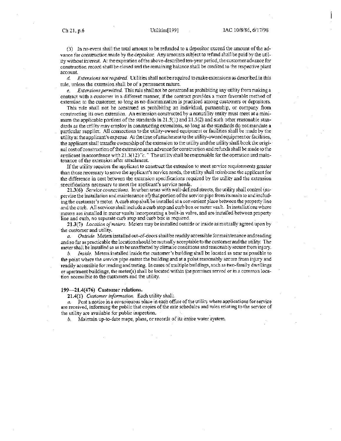(3) In no event shall the total amount to be refunded to a depositor exceed the amount of the advance for construction made by the depositor. Any amounts subject to refund shall be paid by the utility without interest. At the expiration of the above-described ten-year period, the customer advance for construction record shall be closed and the remaining balance shall be credited to the respective plant account.

d. *Extensions not required.* Utilities shall not be required to make extensions as described in this rule, unless the extension shall be of a permanent nature.

*Extensions permitted.* This rule shall not be construed as prohibiting any utility from making a ė. contract with a customer in a different manner, if the contract provides a more favorable method of extension to the customer, so long as no discrimination is practiced among customers or depositors.

This rule shall not be construed as prohibiting an individual, partnership, or company from constructing its own extension. An extension constructed by a nonutility entity must meet at a minimum the applicable portions of the standards in 21.5(1) and 21.5(2) and such other reasonable standards as the utility may employ in constructing extensions, so long as the standards do not mandate a particular supplier. All connections to the utility-owned equipment or facilities shall be made by the utility at the applicant's expense. At the time of attachment to the utility-owned equipment or facilities, the applicant shall transfer ownership of the extension to the utility and the utility shall book the original cost of construction of the extension as an advance for construction and refunds shall be made to the applicant in accordance with  $21.3(12)$ "c." The utility shall be responsible for the operation and maintenance of the extension after attachment.

If the utility requires the applicant to construct the extension to meet service requirements greater than those necessary to serve the applicant's service needs, the utility shall reimburse the applicant for the difference in cost between the extension specifications required by the utility and the extension specifications necessary to meet the applicant's service needs.

21.3(6) Service connections. In urban areas with well-defined streets, the utility shall control (supervise the installation and maintenance of) that portion of the service pipe from its main to and including the customer's meter. A curb stop shall be installed at a convenient place between the property line and the curb. All services shall include a curb stop and curb box or meter vault. In installations where meters are installed in meter vaults incorporating a built-in valve, and are installed between property line and curb, no separate curb stop and curb box is required.

21.3(7) Location of meters. Meters may be installed outside or inside as mutually agreed upon by the customer and utility.

Outside. Meters installed out-of-doors shall be readily accessible for maintenance and reading a. and so far as practicable the location should be mutually acceptable to the customer and the utility. The meter shall be installed so as to be unaffected by climatic conditions and reasonably secure from injury.

Inside. Meters installed inside the customer's building shall be located as near as possible to Ъ. the point where the service pipe enters the building and at a point reasonably secure from injury and readily accessible for reading and testing. In cases of multiple buildings, such as two-family dwellings or apartment buildings, the meter(s) shall be located within the premises served or in a common location accessible to the customers and the utility.

### 199—21.4(476) Customer relations.

21.4(1) Customer information. Each utility shall:

Post a notice in a conspicuous place in each office of the utility where applications for service are received, informing the public that copies of the rate schedules and rules relating to the service of the utility are available for public inspection.

b. Maintain up-to-date maps, plans, or records of its entire water system.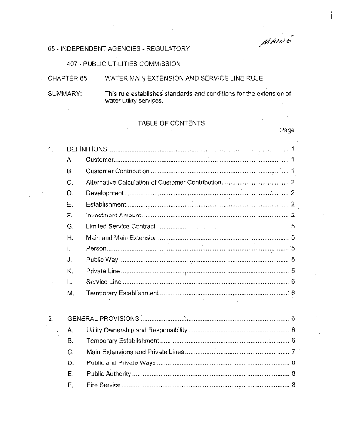MAINE

Page

# 65 - INDEPENDENT AGENCIES - REGULATORY

407 - PUBLIC UTILITIES COMMISSION

| CHAPTER 65 | WATER MAIN EXTENSION AND SERVICE LINE RULE                                                     |
|------------|------------------------------------------------------------------------------------------------|
| SUMMARY:   | This rule establishes standards and conditions for the extension of<br>water utility services. |

TABLE OF CONTENTS

| 1.               |             |  |
|------------------|-------------|--|
|                  | Α.          |  |
|                  | <b>B.</b>   |  |
|                  | Ċ.          |  |
|                  | D.          |  |
|                  | E           |  |
|                  | $F_{\rm L}$ |  |
|                  | G.          |  |
|                  | H.          |  |
|                  | Ι.          |  |
|                  | J.          |  |
|                  | Κ.          |  |
|                  | L.          |  |
|                  | M.          |  |
| $\overline{2}$ . |             |  |
|                  | Α.          |  |
|                  | <b>B.</b>   |  |
|                  | C.          |  |
|                  | Đ.          |  |
|                  | Ε.          |  |
|                  | F.          |  |
|                  |             |  |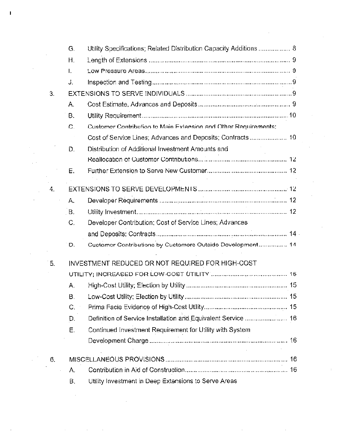|     | G.  | Utility Specifications; Related Distribution Capacity Additions  8 |
|-----|-----|--------------------------------------------------------------------|
|     | Η.  |                                                                    |
|     | I.  |                                                                    |
|     | J.  |                                                                    |
| 3.  |     |                                                                    |
|     | А.  |                                                                    |
|     | В.  |                                                                    |
|     | C.  | Customer Contribution to Main Extension and Other Requirements;    |
|     |     |                                                                    |
|     | D.  | Distribution of Additional Investment Amounts and                  |
|     |     |                                                                    |
|     | Е.  |                                                                    |
| 4.  |     |                                                                    |
|     | Α.  |                                                                    |
|     | -B. |                                                                    |
|     | C.  | Developer Contribution; Cost of Service Lines; Advances            |
|     |     |                                                                    |
|     | D.  | Customor Contributions by Customers Outside Development 14         |
| 15. |     | INVESTMENT REDUCED OR NOT REQUIRED FOR HIGH-COST                   |
|     |     |                                                                    |
|     | Α.  |                                                                    |
|     | В.  |                                                                    |
|     | C.  |                                                                    |
|     | D.  | Definition of Service Installation and Equivalent Service  16      |
|     | Е.  | Continued Investment Requirement for Utility with System           |
|     |     |                                                                    |
| 6.  |     |                                                                    |
|     | А.  |                                                                    |

 $\label{eq:2.1} \mathcal{L}_{\mathcal{A}}(\mathcal{A})=\mathcal{L}_{\mathcal{A}}(\mathcal{A})\otimes\mathcal{L}_{\mathcal{A}}(\mathcal{A})\otimes\mathcal{L}_{\mathcal{A}}(\mathcal{A})\otimes\mathcal{L}_{\mathcal{A}}(\mathcal{A}).$ 

 $\label{eq:2.1} \mathcal{L}_{\text{max}}(x) = \frac{1}{2\pi}\sum_{i=1}^n \frac{1}{2\pi i} \sum_{i=1}^n \frac{1}{2\pi i} \sum_{i=1}^n \frac{1}{2\pi i} \sum_{i=1}^n \frac{1}{2\pi i} \sum_{i=1}^n \frac{1}{2\pi i} \sum_{i=1}^n \frac{1}{2\pi i} \sum_{i=1}^n \frac{1}{2\pi i} \sum_{i=1}^n \frac{1}{2\pi i} \sum_{i=1}^n \frac{1}{2\pi i} \sum_{i=1}^n \frac{1}{2\pi$ 

 $\mathbf{I}$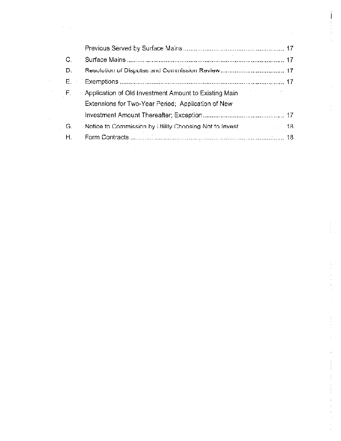| C. |                                                                                  |  |
|----|----------------------------------------------------------------------------------|--|
| D. |                                                                                  |  |
| Е. |                                                                                  |  |
| F. | Application of Old Investment Amount to Existing Main                            |  |
|    | Extensions for Two-Year Period; Application of New                               |  |
|    |                                                                                  |  |
| G. | Notice to Commission by Hillity Choosing Not to Invest [1994] [1994] [1994] [18] |  |
| Η. |                                                                                  |  |

 $\sim 10^7$ 

 $\mathcal{L}^{\text{max}}_{\text{max}}$ 

 $\label{eq:2.1} \frac{1}{\sqrt{2}}\left(\frac{1}{\sqrt{2}}\right)^{2} \left(\frac{1}{\sqrt{2}}\right)^{2} \left(\frac{1}{\sqrt{2}}\right)^{2} \left(\frac{1}{\sqrt{2}}\right)^{2} \left(\frac{1}{\sqrt{2}}\right)^{2} \left(\frac{1}{\sqrt{2}}\right)^{2} \left(\frac{1}{\sqrt{2}}\right)^{2} \left(\frac{1}{\sqrt{2}}\right)^{2} \left(\frac{1}{\sqrt{2}}\right)^{2} \left(\frac{1}{\sqrt{2}}\right)^{2} \left(\frac{1}{\sqrt{2}}\right)^{2} \left(\$ 

 $\label{eq:2} \frac{1}{2} \int_{\mathbb{R}^3} \frac{1}{\sqrt{2}} \, \frac{1}{\sqrt{2}} \, \frac{1}{\sqrt{2}} \, \frac{1}{\sqrt{2}} \, \frac{1}{\sqrt{2}} \, \frac{1}{\sqrt{2}} \, \frac{1}{\sqrt{2}} \, \frac{1}{\sqrt{2}} \, \frac{1}{\sqrt{2}} \, \frac{1}{\sqrt{2}} \, \frac{1}{\sqrt{2}} \, \frac{1}{\sqrt{2}} \, \frac{1}{\sqrt{2}} \, \frac{1}{\sqrt{2}} \, \frac{1}{\sqrt{2}} \, \frac{1}{\sqrt{2}} \, \frac$ 

 $\label{eq:2.1} \frac{1}{\sqrt{2}}\int_{\mathbb{R}^3}\frac{1}{\sqrt{2}}\left(\frac{1}{\sqrt{2}}\right)^2\left(\frac{1}{\sqrt{2}}\right)^2\left(\frac{1}{\sqrt{2}}\right)^2\left(\frac{1}{\sqrt{2}}\right)^2.$ 

 $\label{eq:2.1} \frac{1}{\sqrt{2}}\int_{\mathbb{R}^3}\frac{1}{\sqrt{2}}\left(\frac{1}{\sqrt{2}}\right)^2\frac{1}{\sqrt{2}}\left(\frac{1}{\sqrt{2}}\right)^2\frac{1}{\sqrt{2}}\left(\frac{1}{\sqrt{2}}\right)^2.$ 

 $\begin{array}{c} \begin{array}{c} \text{1}\\ \text{2}\\ \text{3}\\ \text{4}\\ \text{5}\\ \text{6}\\ \text{7}\\ \text{8}\\ \text{9}\\ \text{10}\\ \text{11}\\ \text{12}\\ \text{13}\\ \text{14}\\ \text{16}\\ \text{17}\\ \text{18}\\ \text{19}\\ \text{19}\\ \text{19}\\ \text{19}\\ \text{19}\\ \text{19}\\ \text{19}\\ \text{19}\\ \text{19}\\ \text{19}\\ \text{19}\\ \text{19}\\ \text{19}\\ \text{19}\\ \text{19}\\ \text{19}\\ \text{19}\\ \text{19}\\ \text{19$ 

 $\hat{\mathcal{L}}$ 

ちょうきょう

 $\label{eq:2} \frac{1}{\sqrt{2}}\int_{0}^{\infty}\frac{d\mu}{\lambda} \left(\frac{d\mu}{\lambda}\right)^2\frac{d\mu}{\lambda} \,d\mu$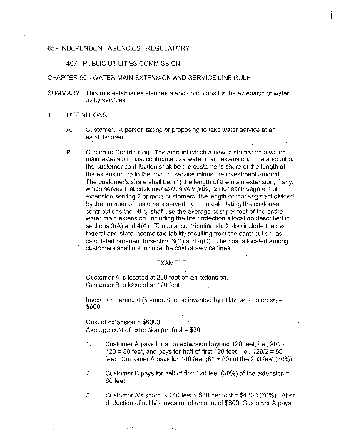# 65 - INDEPENDENT AGENCiES - REGULATORY

# 407 - PUBLIC UTILITIES COMMISSION

# CHAPTER 65 - WATER MAIN EXTENSION AND SERVICE LINE RULE

SUMMARY: This rule establishes standards and conditions for the extension of water utility services.

#### $\mathbf{1}$ DEFINITIONS

- A. Customer. A person taking or proposing to take water service at an establishment.
- B. Customer Contribution. The amount which a new customer on a water main extension must contribute to a water main extension. The amount of the customer contribution shall be the customer's share of the length of the extension up to the point of service minus the investment amount. The customer's share shall be: (1) the length of the main extension, if any, which serves that customer exclusively plus, (2) for each segment of extension serving 2 or more customers, the length of that segment divided by the number of customers served by it. In calculating the customer contributions the utility shall use the average cost per foot of the entire water main extension, including the fire protection allocation described in sections 3(A) and 4(A). The total contribution shall also include the net federal and state income tax liability resulting from the contribution, as calculated pursuant to section  $3(C)$  and  $4(C)$ . The cost allocated among customers shall not include the cost of service lines

# EXAMPLE

Customer A is located at 200 feet on an extension. Customer B is located at 120 feet.

Investment amount  $(\$$  amount to be invested by utility per customer) = \$600

Cost of extension = \$6000 Average cost of extension per foot  $= $30$ 

- 1. Customer <sup>A</sup> pays for all of extension beyond 120 feet, i.e., 200- 120 = 80 feet, and pays for half of first 120 feet, i.e.,  $120/2 = 60$ feet. Customer A pays for 140 feet  $(80 + 60)$  of the 200 feet  $(70\%).$
- 2. Customer B pays for half of first 120 feet (30%) of the extension  $\pm$ 60 feet.
- 3. Customer A's share is 140 feet x \$30 per foot  $=$  \$4200 (70%). After deduction of utility's investment amount of \$600, Customer A pays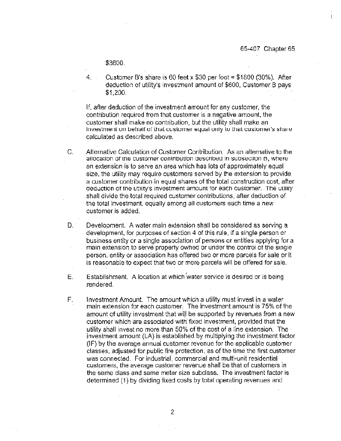\$3600.

4. Customer B's share is 60 feet x \$30 per foot =  $$1800 (30\%).$  After deduction of utility's investment amount of \$600, Customer B pays  $$1,200.$ 

If, after deduction of the investment amount for any customer, the contribution required from that customer is a negative amount, the customer shall make no contribution, but the utility shall make an Investment on behalf of that customer equal only to that customer's share calculated as described above.

- $C_{r}$ Alternative Calculation of Customer Contribution. As an alternative to the allocation of the customer contribution described in subsection B, where an extension is to serve an area which has lots of approximately equal size, the utility may require customers served by the extension to provide a customer contribution in equal shares of the total construction cost, after deduction of the utility's investment amount for each customer. The utility shall divide the total required customer contributions, after deduction of the total investment, equally among all customers each time a new customer is added.
- $D_{\alpha}$ Development. A water main extension shall be considered as serving a development, for purposes of section 4 of this rule, if a single person or business entity or a single association of persons or entities applying for a main extension to serve property owhed or under the control of the single person, entity or association has offered two or more parcels for sale or it is reasonable to expect that two or more parcels will be offered for sale.
- $E.$ Establishment. A location at which water service is desired or is being rendered.
- Ė. Investment Amount. The amount which a utility must invest in a water main extension for each customer. The investment amount is 75% of the amount of utility investment that will be supported by revenues from a new customer which are associated with fixed investment, provided that the utility shall invest no more than 50% of the cost of a line extension. The investment amount (LA) is established by multiplying the investment factor (IF) by the average annual customer revenue for the applicable customer classes, adjusted for public fire protection, as of the time the first customer was connected. For industrial, commercial and multi-unit residential customers, the average customer revenue shall be that of customers in the same class and same meter size subclass. The investment factor is determined (1) by dividing fixed costs by total operating revenues and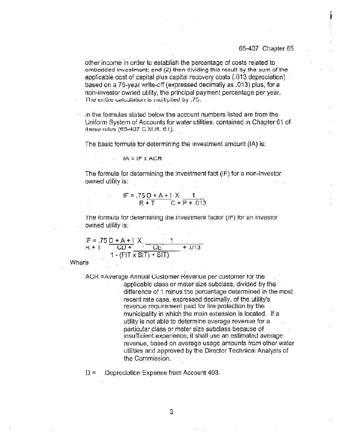## 65-407 Chapter 65

other income in order to establish the percentage of costs related to embedded investment; and (2) then dividing this result by the sum of the applicable cost of capital plus capital recovery costs (.013 depreciation) based on a 75-year write-off (expressed decimally as .013) plus, for a non-investor owned utility, the principal payment percentage per year. The entire calculation is multiplied by .75.

In the formulas stated below the account numbers listed are from the Uniform System of Accounts for water utilities, contained in Chapter 61 of these rules (65-407 C.M.R. 61).

The basic formula for determining the investment amount (IA) is:

$$
IA = IF \times ACR
$$

The formula for determining the investment fact (IF) for a non-investor owned utility is:

IF = 
$$
.75D + A + 1X
$$
  
R + T C + P + .013

The formula for determining the Investment factor (IF) for an Investor owned utility is:

$$
IF = .75 D + A + 1 X \nR + 1 CD + CD + CE + .013.\n1 - (FIT × SIT) + SIT)
$$

Where

ACR = Average Annual Customer Revenue per customer for the

applicable class or meter size subclass, divided by the difference of 1 minus the percentage determined in the most recent rate case, expressed decimally, of the utility's revenue requirement paid for fire protection by the municipality in which the main extension is located. If a utility is not able to determine average revenue for a particular class or meter size subclass because of insufficient experience, it shall use an estimated average revenue, based on average usage amounts from other water utilities and approved by the Director Technical Analysis of the Commission.

 $D =$ Depreciation Expense from Account 403.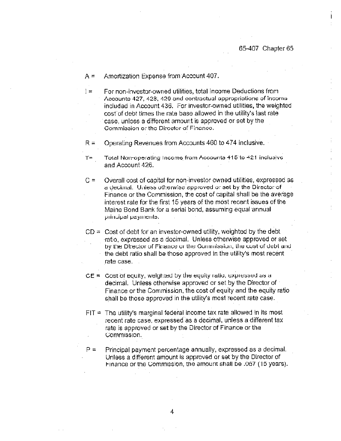Amortization Expense from Account 407.  $A =$ 

For non-investor-owned utilities, total income Deductions from  $=$ Accounte 427, 428, 420 and contractual appropriations of income included in Account 436. For investor-owned utilities, the weighted cost of debt times the rate base allowed in the utility's last rate case, unless a different amount is approved or set by the Commission or the Director of Finance.

Operating Revenues from Accounts 460 to 474 inclusive.  $R =$ 

Total Non-operating Income from Accounts 415 to 421 inclusive Т⇔ and Account 426.

Overall cost of capital for non-investor owned utilities, expressed as  $C =$ a declinal. Unless otherwise approved or set by the Director of Finance or the Commission, the cost of capital shall be the average interest rate for the first 15 years of the most recent issues of the Maine Bond Bank for a serial bond, assuming equal annual principal payments.

 $CD =$  Cost of debt for an investor-owned utility, weighted by the debt ratio, expressed as a decimal. Unless otherwise approved or set by the Director of Finance or the Commission, the cost of debt and the debt ratio shall be those approved in the utility's most recent rate case.

- $CE = Cost of equity, weighted by the equity ratio, expressed as a$ decimal. Unless otherwise approved or set by the Director of Finance or the Commission, the cost of equity and the equity ratio shall be those approved in the utility's most recent rate case.
- $FIT = The utility's marginal federal income tax rate allowed in its most$ recent rate case, expressed as a decimal, unless a different tax rate is approved or set by the Director of Finance or the Commission.
- $P =$ Principal payment percentage annually, expressed as a decimal. Unless a different amount is approved or set by the Director of Finance or the Commission, the amount shall be .067 (15 years).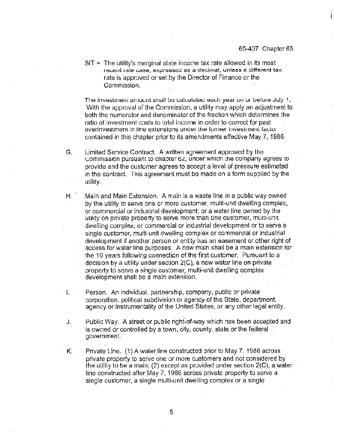$SIT = The utility's marginal state income tax rate allowed in its most$ recent rate case, expressed as a decimal, unless a different tax rate is approved or set by the Director of Finance or the Commission.

The investment amount shall be calculated each year on or before July 1. With the approval of the Commission, a utility may apply an adjustment to both the numerator and denominator of the fraction which determines the ratio of investment costs to total income in order to correct for past overinvestment in tine extensions under the former investment factor contained in this chapter prior to its amendments effective May 7, 1986.

Limited Service Contract. A written agreement approved by the G. Commission pursuant to chapter 62, under which the company agrees to provide and the customer agrees to accept a level of pressure estimated in the contract. This agreement must be made on a form supplied by the utility.

Η.

I.

Main and Main Extension. A main is a waste line in a public way owned by the utility to serve one or more customer, multi-unit dwelling complex. or commercial or industrial development; or a water line owned by the utility on private property to serve more than one customer, multi-unit dwelling complex, or commercial or industrial development or to serve a single customer, multi-unit dwelling complex or commercial or industrial development if another person or entity has an easement or other right of access for water line purposes. A new main shall be a main extension for the 10 years following connection of the first customer. Pursuant to a decision by a utility under section 2(C), a new water line on private property to serve a single customer, multi-unit dwelling complex development shall be a main extension.

Person. An individual, partnership, company, public or private corporation, political subdivision or agency of the State, department, agency or instrumentality of the United States, or any other legal entity.

J. Public Way. A street or public right-of-way which has been accepted and is owned or controlled by a town, city, county, state or the federal. government.

Private Line. (1) A water line constructed prior to May 7, 1986 across Κ. private property to serve one or more customers and not considered by the utility to be a main; (2) except as provided under section  $2(C)$ , a water line constructed after May 7, 1986 across private property to serve a single customer, a single multi-unit dwelling complex or a single

5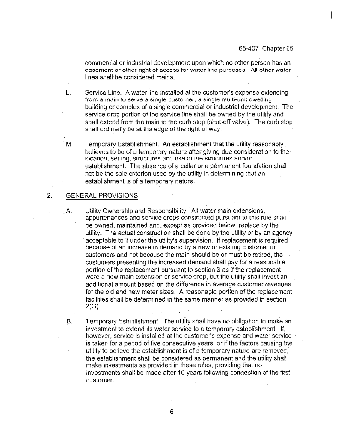commercial or industrial development upon which no other person has an easement or other right of access for water line purposes. All other water lines shall be considered mains.

L. Service Line. A water line installed at the customer's expense extending from a main to serve a single customer, a single multi-unit dwelling building or complex of a single commercial or industrial development. The service drop portion of the service line shall be owned by the utility and shall extend from the main to the curb stop (shut-off valve). The curb stop shall ordinarily be at the edge of the right of way.

Temporary Establishment. An establishment that the utility reasonably. Μ. believes to be of a temporary nature after giving due consideration to the location, setting, structures and use of the structures and/or establishment. The absence of a cellar or a permanent foundation shall not be the sole criterion used by the utility in determining that an establishment is of a temporary nature.

#### $\overline{2}$ . GENERAL PROVISIONS

В.

Utility Ownership and Responsibility. All water main extensions, A. appurtenances and service drops constructed pursuant to this rule shall be owned, maintained and, except as provided below, replace by the utility. The actual construction shall be done by the utility or by an agency acceptable to it under the utility's supervision. If replacement is required because of an increase in demand by a new or existing customer or customers and not because the main should be or must be retired, the customers presenting the increased demand shall pay for a reasonable portion of the replacement pursuant to section 3 as if the replacement were a new main extension or service drop, but the utility shall invest an additional amount based on the difference in average customer revenues. for the old and new meter sizes. A reasonable portion of the replacement facilities shall be determined in the same manner as provided in section  $2(G)$ .

Temporary Establishment. The utility shall have no obligation to make an investment to extend its water service to a temporary establishment. If, however, service is installed at the customer's expense and water service is taken for a period of five consecutive years, or if the factors causing the utility to believe the establishment is of a temporary nature are removed. the establishment shall be considered as permanent and the utility shall make investments as provided in these rules, providing that no investments shall be made after 10 years following connection of the first customer.

6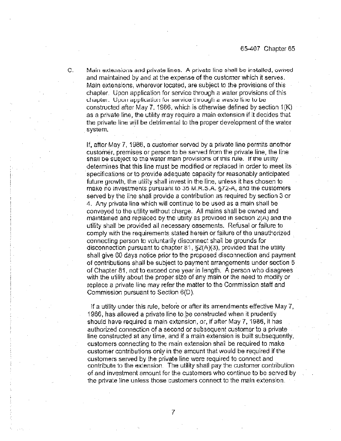C. Main extensions and private lines. A private line shall be installed, owned and maintained by and at the expense of the customer which it serves. Main extensions, wherever located, are subject to the provisions of this chapter. Upon application for service through a water provisions of this chapter. Upon application for service through a waste line to be constructed after May 7, 1986, which is otherwise defined by section 1(K) as a private line, the utility may require a main extension if it decides that the private line will be detrimental to the proper development of the water system.

If, after May 7, 1986, a customer served by a private line permits another customer, premises or person to be served from the private line, the line snan be subject to the water main provisions of this rule. If the utility determines that this line must be modified or replaced in order to meet its specifications or to provide adequate capacity for reasonably anticipated future growth, the utility shall invest in the line, unless it has chosen to make no investments pursuant to 35 M.R.S.A. §72-A, and the customers served by the line shall provide a contribution as required by section 3 or 4. Any private line which will continue to be used as a main shall be conveyed to the utility without charge. All mains shall be owned and maintained and replaced by the utility as provided in section 2(A) and the utility shall be provided all necessary easements. Refusal or failure to comply with tne requirements stated herein or failure of the unauthorized connecting person to voluntarily disconnect shall be grounds for disconnection pursuant to chapter 81,  $\S2(A)(3)$ , provided that the utility shall give 60 days notice prior to the proposed disconnection and payment of contributions shall be subject to payment arrangements under section 5 of Chapter 81, not to exceed one year in length. A person who disagrees with the utility about the proper size of any main or the need to modify or replace a private line may refer the matter to the Commission staff and Commission pursuant to Section 6(D)

if a utility under this rule, before or after its amendments effective May 7, 1986, has allowed a private line to be constructed when it prudently should have required a main extension, or, if after May 7, 1986, it has authorized connection of a second or subsequent customer to a private line constructed at any time, and if a main extension is built subsequently. customers connecting to the main extension shall be required to make customer contnbutions only in the amount that would be required if the customers served by the private line were required to connect and contribute to the extension The utility shall pay the customer contribution of and investment amount for the customers who continue to be senred by the private line unless those customers connect to the main extension.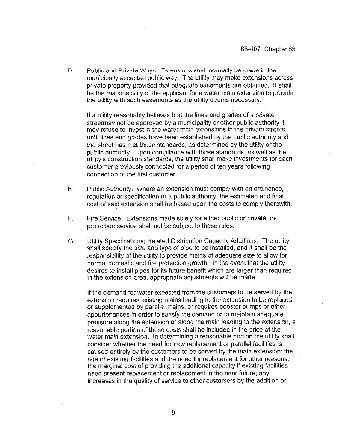Public and Private Ways. Extensions shall normally be made in the D. municipally accepted public way. The utility may make extensions across private property provided that adequate easements are obtained. It shall be the responsibility of the applicant for a water main extension to provide the utility with such easements as the utility deems necessary.

If a utility reasonably believes that the lines and grades of a private streetmay not be approved by a municipality or other public authority it may retuse to invest in the water main extensions in the private streets until lines and grades have been established by the public authority and the street has met those standards, as determined by the utility or the public authority. Upon compliance with those standards, as well as the utlity's construction standards, the utility shall make investments for each customer previously connected for a period of ten years following connection of the first customer.

- Public Authority. Where an extension must comply with an ordinance, 七. <sub>1</sub> requlation or specification or a public authority, the estimated and final cost of said extension shall be based upon the costs to comply therewith.
- F. Fire Service. Extensions made solely for either public or private fire protection service shall not be subject to these rules.
- G. Utility Specifications: Related Distribution Capacity Additions. The utility shall specify the size and type of pipe to be installed, and it shall be the responsibility of the utility to provide mains of adequate size to allow for normal domestic and fire protection growth. In the event that the utility desires to install pipes for its future benefit which are larger than required in the extension area, appropriate adjustments will be made.

If the demand for water expected from the customers to be served by the extension requires existing mains leading to the extension to be replaced or supplemented by parallel mains, or requires booster pumps or other appurtenances in order to satisfy the demand or to maintain adequate pressure along the extension or along the main leading to the extension, a reasonable portion of these costs shall be included in the price of the water main extension. In determining a reasonable portion the utility shall consider whether the need for new replacement or parallel facilities is caused entirely by the customers to be served by the main extension; the age of existing facilities and the need for replacement for other reasons; the marginal cost of providing the additional capacity if existing facilities need present replacement or replacement in the near future; any increases in the quality of service to other customers by the addition or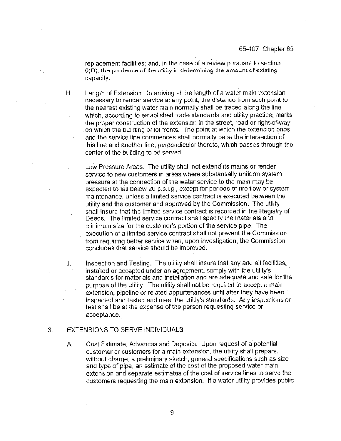replacement facilities; and, in the case of a review pursuant to section  $6(D)$ , the proderice of the utility in determining the amount of existing capacity.

Length of Extension. In arriving at the length of a water main extension necessary to render service at any point, the distance from such point to the nearest existing water main normally shall be traced along the line which, according to established trade standards and utility practice, marks the proper construction of the extension in the street, road or right-of-way on which the building or lot fronts. The point at which the extension ends and the service line commences shall normally be at the intersection of this line and another line, perpendicular thereto, which passes through the center of the building to be served.

Low Pressure Areas. The utility shall not extend its mains or render service to new customers in areas where substantially uniform system pressure at the connection of the water service to the main may be expected to fall below 20 p.s.i.g., except for periods of fire flow or system. maintenance, unless a limited service contract is executed between the utility and the customer and approved by the Commission. The utility shall insure that the limited service contract is recorded in the Registry of Deeds. The limited service contract shall specify the materials and minimum size for the customer's portion of the service pipe. The execution of a limited service contract shall not prevent the Commission from requiring better service when, upon investigation, the Commission concludes that service should be improved.

Inspection and Testing. The utility shall insure that any and all facilities, installed or accepted under an agreement, comply with the utility's standards for materials and installation and are adequate and safe for the purpose of the utility. The utility shall not be required to accept a main extension, pipeline or related appurtenances until after they have been inspected and tested and meet the utility's standards. Any inspections or test shall be at the expense of the person requesting service or acceptance.

#### EXTENSIONS TO SERVE INDIVIDUALS 3.

Н.

I.

J.

Cost Estimate, Advances and Deposits. Upon request of a potential А. customer or customers for a main extension, the utility shall prepare. without charge, a preliminary sketch, general specifications such as size and type of pipe, an estimate of the cost of the proposed water main extension and separate estimates of the cost of service lines to serve the customers requesting the main extension. If a water utility provides public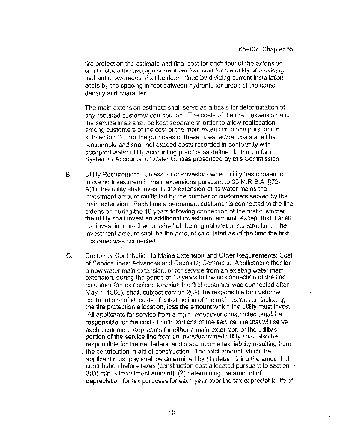fire protection the estimate and final cost for each foot of the extension shall include the average current per foot cost for the utility of providinghydrants. Averages shall be determined by dividing current installation costs by the spacing in feet between hydrants for areas of the same density and character.

The main extension estimate shall serve as a basis for determination of any required customer contribution. The costs of the main extension and the service lines shall be kept separate in order to allow reallocation among customers or ine cost or the main extension alone pursuant to subsection D. For the purposes of these rules, actual costs shall be reasonable and shall not exceed costs recorded in conformity with accepted water utility accounting practice as defined in the Uniform system or Accounts for water Utilities prescribed by this Commission.

- В. Utility Requirement. Unless a non-investor owned utility has chosen to make no investment in main extensions pursuant to 35 M.R.S.A, §72-A(1), the utility shall invest in the extension of its water mains the investment amount multiplied by the number of customers served by the main extension. Each time a permanent customer is connected to the Ime extension during the 10 years following connection of the first customer, the utility shall invest an additional investment amount, except that it shall not invest in more than one-half of the original cost of construction. The investment amount shall be the amount calculated as of the time the first customer was connected.
- Customer Contribution to Maine Extension and Other Requirements; Cost  $G_{-}$ of Service lines; Advances and Deposits; Contracts. Applicants either for a new water main extension, or for service from an existing water main extension, during the period of 10 years following connection of the first customer {on extensions to which the first customer was connected after May 7, 1986), shall, subject section 2(G), be responsible for customer contributions of all costs of construction of the main extension including the fire protection allocation, less the amount which the utility must invest. All applicants for service from a main, whenever constructed, shall be responsible for the cost of both porticns of the service line that will serve each customer. Applicants for either a main extension or the utility's portion of the service line from an investor-owned utility shall also be responsible 'or the net federal and state income tax liability resulting from the contribution in aid of construction. The total amount which the applicant must pay shall be determined by (1) determining the amount of contribution before taxes (construction cost allocated pursuant to section 3(D) minus investment amount), (2) determining the amount of depreciation for tax purposes for each year over the tax depreciable life of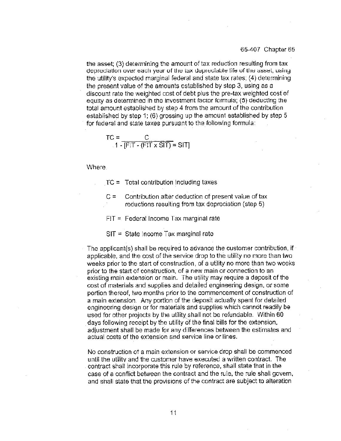the asset; (3) determining the amount of tax reduction resulting from tax depreciation over each year of the tax depreciable life of the asset, using the utility's expected marginal federal and state tax rates; (4) determining the present value of the amounts established by step 3, using as a discount rate the weighted cost of debt plus the pre-tax weighted cost of equxy as determined In the Investment factor formula; (5) deducting the total amount established by step 4 from the amount of the contribution established by step 1; (6) grossing up the amount established by step  $5$ for federal and state taxes pursuant to the following formula:

$$
TC = \frac{C}{1 - [F|T - (F|T \times S|T)]} = S|T|
$$

Where.

TC = Total contribution including taxes

- $C =$  Contribution after deduction of present value of tax reductions resulting from tax depreciation (step 5)
- $FIT = Federal Income Tax marginal rate$
- SIT = State Income Tax marginal rate

The applicant(s) shall be required to advance the customer contribution, if applicable, and the cost of the service drop to the utility no more than two weeks prior to the start of construction, of a utility no more than two weeks prior to the start of construction, of a new main or connecticn to an existing main extension or main. The utility may require a deposit of the cost of materials and supplies and detailed engineering design, or some portion thereof, two months prior to the commencement of construction of a main extension. Any portion of the deposit actually spent for detailed engineering design or for materials and supplies which cannot readily be used for other proiects by the utility shall not be refundable. Within 60 days following receipt by the utility of the final bills for the extension, adjustment shall be made for any differences between the estimates and actual costs of the extension and service line or lines.

No construction of a main extension or service drop shall be commenced until the utility and the customer have executed a written contract. The contract shall incorporate this rule by reference, shall state that in the case of a conflict between the contract and the rule, the rule shall govern, and shall state that the provisions of the contract are subject to alteration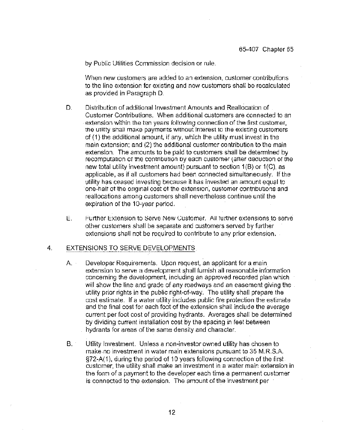by Public Utilities Commission decision or rule.

When new customers are added to an extension, customer contributions to the line extensior for existing and new customers shall be recalculated as provided in Paragraph D

- D. Distribution of additional investment Amounts and Reallocation of. Custcmer Contributions. When additional customers are connected to an extension within the ten years following connection af the first customer, the utility shall make payments without interest to the existing customers  $cf$  (1) the additional amount, if any, which the utility must invest in the main extension; and (2) the additional customer contribution to the main extension. The amounts to be paid to customers shall be determined by recomputation of the contribution by each customer (after deduction of the new total utility investment amount) pursuant to section  $1(B)$  or  $1(C)$ , as applicable, as if all customers had been connected simultaneously If the utility has ceased investing because it has invested an amount equal to one-halt at the onginai cost at the exlension, customer cantributions and reallocations among customers shall nevertheless continue until the expiration of the 10-year period,
- Ε. Further Extension to Serve New Customer. All further extensions to serve other customers shall be separate and customers served by further extensions shall not be required to contribute to any prior extension,

#### $4.$ EXTENSIONS TO SERVE DEVELOPMENTS

- $A -$ Developer Requirements. Upon request, an applicant for a main extension to serve a development shall furnish all reasonable infarmation concerning the development, including an approved recorded plan which will show the line and grade of any roadways and an easement giving the. utility prior rights in the public right-of-way. The utility shall prepare the cost estimate. If a water utility includes public fire protection the estimate and the final cost for each toot of the extension shall include the average current per foot cost of pravicing hydrants. Averages shall be determined by dividing current installation cost by the spacing in feet between hydrants for areas of the same density and character
- $B^{\circ}$ Utility Investment. Unless a non-investor owned utility has chosen to make no investment in water main extensicns pursuant to 35 <sup>M</sup> R S.A. 6?2-A(t), during the period of 10 years following connection of the first customer, the utility shall make an investment in a water main extension in the form of a payment to the developer each time a permanent customer is connected to the extension, The amount of the investment per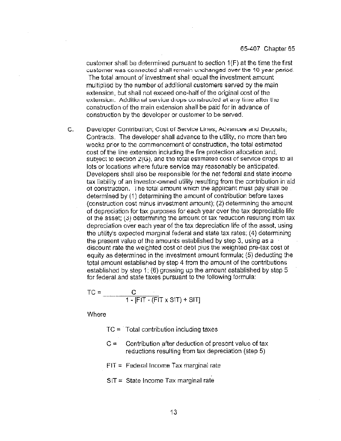customer shall be determined pursuant to section 1(F) at the time the first customer was connected shall remain unchanged over the 10 year period. The total amount of investment shall equal the investment amount multiplied by the number of additional customers served by the main extension, but shall not exceed one-half of the original cost of the extension. Additional service drops constructed at any time after the construction of the main extension shall be paid fcr in advance of construction by the developer or customer to be served

C. Developer Contribution, Cost of Service Lines, Advarices and Deposits, Contracts. The developer shall advance to the utility, no more than two weeks prior to the commencement of construction, the total estimated cost of the line extension including the fire protection allocation and, subject to section  $2(G)$ , and the total estimated cost of service drops to all lots or locations where future service may reasonably be anticipated. Developers shall also be responsible for the net federal and state income tax liability of an investor-owned utility resulting from the contribution in aid of construction. The total amount which the applicant must pay shall be determined by (1) determining the amount of contribution before taxes (construction cost minus investment amount); (2) determining the amount of depreciation for tax purposes for each year over the tax depreciable life of the asset; (3) determining the amount of tax reduction resulting from tax depreciation over each year of the tax depreciation life of the asset, using the utility's expected marginal federal and state tax rates; (4) determining the present value cf the amounts established by step 3, using as a discount rate the weighted cost ot debt plus the weighted pre-tax cost ot equity as determined in the investment amount formula; (5) deducting the total amount established by step 4 from the amount of the contributions established by step 1; (6) grossing up the amount established by step 5 for federal and state taxes pursuant to the following formula:

$$
TC = \frac{C}{1 - [F|T - (F|T \times S|T) + S|T]}
$$

Where

 $TC = Total contribution including taxes$ 

- $C =$ Contribution after deduction of present value of tax reductions resulting from tax depreciation (step 5)
- $FIT = Federal Income Tax marginal rate$
- $SIT = State Income Tax marginal rate$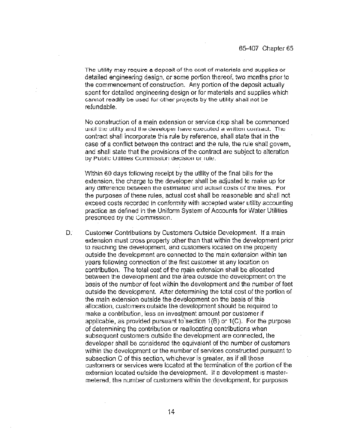The utility may require a deposit of the cost of materials and supplies or detailed engineering design, or some portion thereof, two months prior to the commencement of construction. Any portion of the deposit actually spent for detailed engineering design or for materials and supplies which cannot readily be used for other projects by the utility shall not be refundable.

No construction of a main extension or service drop shall be commenced until the utility and the developer have executed a written contract. The contract shall incorporate this rule by reference, shall state that in the case of a conflict between the contract and the rule, the rule shall govern, and shall state that the provisions of the contract are subject to alteration by Public Utilities Commission decision or rule.

Within 60 days following receipt by the utility of the final bills for the extension, the charge to the developer shall be adjusted to make up for any difference between the estimated and actual costs of the lines. For the purposes of these rules, actual cost shall be reasonable and shall not exceed costs recorded in conformity with accepted water utility accounting practice as defined in the Uniform System of Accounts for Water Utilities prescribed by the Commission.

Đ. Customer Contributions by Customers Outside Development. If a main extension must cross property other than that within the development prior to reaching the development, and customers located on the property outside the development are connected to the main extension within ten years following connection of the first customer at any location on contribution. The total cost of the main extension shall be allocated between the development and the area outside the development on the basis of the number of feet within the development and the number of feet outside the development. After determining the total cost of the portion of the main extension outside the development on the basis of this allocation, customers outside the development should be required to make a contribution, less an investment amount per customer if applicable, as provided pursuant to section  $1(B)$  or  $1(C)$ . For the purpose of determining the contribution or reallocating contributions when subsequent customers outside the development are connected, the developer shall be considered the equivalent of the number of customers within the development or the number of services constructed pursuant to subsection C of this section, whichever is greater, as if all those customers or services were located at the termination of the portion of the extension located outside the development. If a development is mastermetered, the number of customers within the development, for purposes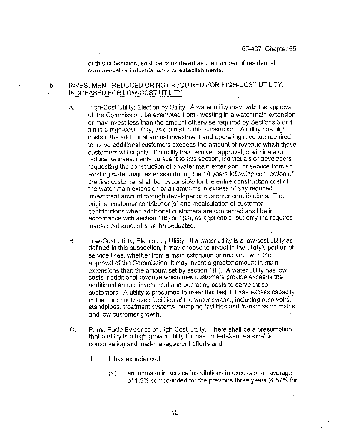of this subsection, shall be considered as the number of residential, commercial or industrial units or establishments.

### INVESTMENT REDUCED OR NOT REQUIRED FOR HIGH-COST UTILITY, 5. INCREASED FOR LOW-COST UTILITY

- А. High-Cost Utility; Election by Utility. A water utility may, with the approval of the Commission, be exempted from investing in a water main extension or may invest less than the amount otherwise required by Sections 3 or 4 if it is a high-cost utility, as defined in this subsection. A utility has high costs if the additional annuai investment and operating revenue required to serve additional customers exceeds the amount of revenue which those customers will supply. if a utility has received approval to eliminate or requee its investments pursuant to this section, individuals or developers requesting the construction of a water main extension, or service from an existing water main extension during the 10 years following connection of the first customer shall be responsible for the entire construction cost of the water main extension or all amounts in excess of any reduced investment amount through developer or customer contributions. The original customer contribution(s) and recalculation of customer contributions when additional customers are connected shall be in accordance with section  $1(B)$  or  $1(C)$ , as applicable, but only the required investment amount shall be deducted.
- Low-Cost Utility; Election by Utility. If a water utility is a low-cost utility as В. defined in this subsection, it may choose to invest in the utility's portion of service lines, whether from a main extension or not; and, with the approval of the Commission, it may invest a greater amount in main extensions than the amount set by section  $1(F)$ . A water utility has low ccats ff addttional revenue which new customers provide exceeds the additional annual investment and operating costs to serve those customers. A utility is presumed to meet this test if it has excess capaaty <sup>m</sup> the commonly used facilities of the water system, Including reservoirs, standpipes, treatment systems oumping facilities and transmission mains and low customer growth.
- Prima Facie Evidence of High-Cost Utility. There shall be a presumption C. that a utility is a high-growth utility if it has undertaken reasonable conservation and load-management efforts and:
	- 1. It has experienced:
		- (a) an increase in service installations <sup>m</sup> excess of an average of 1.5% compounded for the previous three years (4.57% for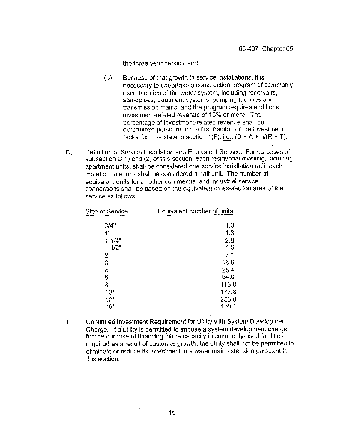the three-year period); and

- $(b)$ Because of that growth in service installations, it is necessary to undertake a construction program of commonly used facilities of the water system, including reservoirs, standpipes, treatment systems, pumping facilities and transmission mains; and the program requires additional investment-related revenue of 15% or more. The percentage of investment-related revenue shall be determined pursuant to the first fraction of the investment factor formula state in section  $1(F)$ , i.e.,  $(D + A + 1)/(R + T)$ .
- Definition of Service Installation and Equivalent Service. For purposes of D. subsection C(1) and (2) of this section, each residential dwelling, including apartment units, shall be considered one service installation unit; each motel or hotel unit shall be considered a half unit. The number of equivalent units for all other commercial and industrial service connections shall be based on the equivalent cross-section area of the service as follows:

| Size of Service | Equivalent number of units |  |
|-----------------|----------------------------|--|
| 3/4"            | 1.0                        |  |
| 1"              | 1.8                        |  |
| 11/4"           | 2.8                        |  |
| 1.1/2"          | 4.0                        |  |
| 2"              | 7.1                        |  |
| 3"              | 16.0                       |  |
| 4"              | 28.4                       |  |
| 6"              | 64.0                       |  |
| 8"              | 113.8                      |  |
| 10"             | 177.8                      |  |
| 12"             | 256.0                      |  |
| 16"             | 455.1                      |  |

Ε. Continued Investment Requirement for Utility with System Development Charge. If a utility is permitted to impose a system development charge for the purpose of financing future capacity in commonly-used facilities required as a result of customer growth, the utility shall not be permitted to eliminate or reduce its investment in a water main extension pursuant to this section.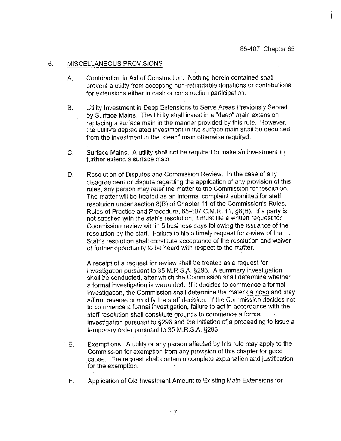#### 6. MISCELLANEOUS PROVISIONS

- Contribution in Aid of Construction. Nothing herein contained shall А. prevent a utility from accepting non-refundable donations or contributions for extensions either in cash or construction participation.
- Utility Investment in Deep Extensions to Serve Areas Previously Served В. by Surface Mains. The Utility shall invest in a "deep" main extension. replacing a surface main in the manner provided by this rule. However, the utility's depreciated investment in the surface main shall be deducted from the investment in the "deep" main otherwise required.
- Surface Mains. A utility shall not be required to make an investment to  $C_{1}$ further extend a surface main.
- D. Resolution of Disputes and Commission Review. In the case of any disagreement or dispute regarding the application of any provision of this rules, any person may reter the matter to the Commission for resolution. The matter will be treated as an informal complaint submitted for staff resolution under section 8(B) of Chapter 11 of the Commission's Rules, Rules of Practice and Procedure, 65-407 C.M.R. 11, §8(B). If a party is not satisfied with the staff's resolution, it must file a written request for Commission review within 5 business days following the issuance of the resolution by the staff. Failure to file a timely request for review of the Staff's resolution shall constitute acceptance of the resolution and waiver of further opportunity to be heard with respect to the matter.

A receipt of a request for review shall be treated as a request for investigation pursuant to 35 M.R.S.A. §296. A summary investigation shall be conducted, after which the Commission shall determine whether a formal investigation is warranted. If it decides to commence a formal investigation, the Commission shall determine the mater de novo and may affirm, reverse or modify the staff decision. If the Commission decides not to commence a formal investigation, failure to act in accordance with the staff resolution shall constitute grounds to commence a formal investigation pursuant to §296 and the initiation of a proceeding to issue a temporary order pursuant to 35 M.R.S.A. §293.

- Е. Exemptions. A utility or any person affected by this rule may apply to the Commission for exemption from any provision of this chapter for good cause. The request shall contain a complete explanation and justification for the exemption.
- Application of Old Investment Amount to Existing Main Extensions for F.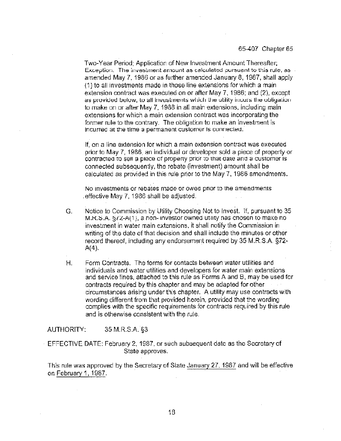## 65-407 Chapter 65

Two-Year Period: Application of New Investment Amount Thereafter; Exception. The investment amount as calculated pursuant to this rule, as amended May 7, 1986 or as further amended January 8, 1987, shall apply (1) to all investments made in those line extensions for which a main extension contract was executed on or after May 7, 1986; and (2), except as provided below, to all investments which the utility incurs the obligation. to make on or after May 7, 1988 in all main extensions, including main extensions for which a main extension contract was incorporating the former rule to the contrary. The obligation to make an investment is Incurred at the time a permanent customer is connected.

If, on a line extension for which a main extension contract was executed prior to May 7, 1986, an individual or developer sold a piece of property or contracted to sell a piece of property prior to that date and a customer is connected subsequently, the rebate (investment) amount shall be calculated as provided in this rule prior to the May 7, 1986 amendments.

No investments or rebates made or owed prior to the amendments effective May 7, 1986 shall be adjusted.

- Notice to Commission by Utility Choosing Not to Invest. If, pursuant to 35 G. M.R.S.A. §/2-A(1), a non-investor owned utility has chosen to make no investment in water main extensions, it shall notify the Commission in writing of the date of that decision and shall include the minutes or other record thereof, including any endorsement required by 35 M.R.S.A. §72- $A(4)$ .
- Form Contracts. The forms for contacts between water utilities and Н. individuals and water utilities and developers for water main extensions and service lines, attached to this rule as Forms A and B, may be used for contracts required by this chapter and may be adapted for other circumstances arising under this chapter. A utility may use contracts with wording different from that provided herein, provided that the wording complies with the specific requirements for contracts required by this rule and is otherwise consistent with the rule.

#### AUTHORITY: 35 M.R.S.A. §3

EFFECTIVE DATE: February 2, 1987, or such subsequent date as the Secretary of State approves.

This rule was approved by the Secretary of State January 27, 1987 and will be effective on February 1, 1987.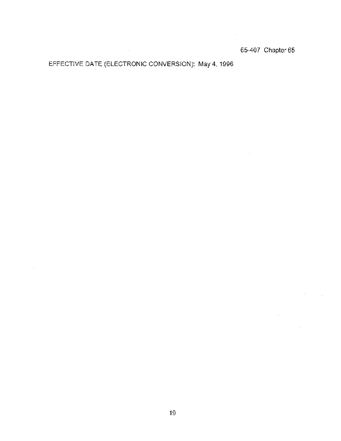$\mathcal{L}^{\mathcal{L}}(\mathcal{H}^{\mathcal{L}})$  and  $\mathcal{L}^{\mathcal{L}}(\mathcal{H}^{\mathcal{L}})$  and  $\mathcal{L}^{\mathcal{L}}(\mathcal{H}^{\mathcal{L}})$ 

 $\sim$ 

 $\sim 10^{-10}$ 

 $\mathbb{R}^2$ 

 $\sim$ 

 $\bar{\tau}$ 

 $\mathcal{L}_{\text{max}}$ 

 $\sim$ 

# EFFECTIVE DATE (ELECTRONIC CONVERSION): May 4, 1996

 $\mathcal{L}_{\text{max}}$  and  $\mathcal{L}_{\text{max}}$ 

 $\bar{z}$ 

 $\bar{\mathcal{A}}$ 

19

 $\sim$   $\sim$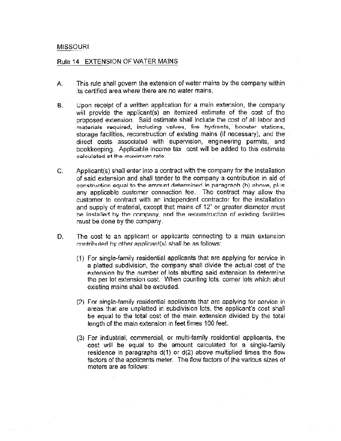# MISSOURI

 $\sim 10^{-11}$ 

# Rule 14 EXTENSION OF WATER MAINS

- This rule shall govern the extension of water mains by the company within А. its certified area where there are no water mains.
- В. Upon receipt of a written application for a main extension, the company will provide the applicant(s) an itemized estimate of the cost of the proposed extension. Said estimate shall include the cost of all labor and materials required, including valves, fire hydrants, booster stations, storage facilities, reconstruction of existing mains (if necessary), and the direct costs associated with supervision, engmeering permits, and bookkeeping. Applicable income tax cost will be added to this estimate calculated at the maximum rate.
- $C.$  Applicant(s) shall enter into a contract with the company for the installation of said extension and shall tender to the company a contnbution in aid of construction equal to the amount determined in paragraph (b) above, plus any applicable customer connection fee. The contract may allow the customer to contract with an independent contractor for the installation and supply of material, except that mains of 12" or greater diameter must be installed by the company, and the reconstruction of existing facilities. must be done by the company
- D. The cost to an applicant or applicants connecting to a main extension contributed by other applicant(s) shall be as follows:
	- For single-family residential applicants that are applying for service in a platted subdivision, the company shall divide the actual cost of the extension by the number of lots abutting said extension to determine. the per lot extension cost. When counting lots, corner lots which abut existing mains shall be excluded.
	- $(2)$  For single-family residential applicants that are applying for service in areas that are unplatted in subdivision lots, the apphcant's cost shall be equal to the total cost of the main extension divided by the total length of the main extension in feet times 100 feet.
	- (3) For industnal, commercial, or multi-family residential apphcants, the cost will be equal to the amount calculated for a single-family residence in paragraphs d(1) or d(2) above multiplied times the flow factors of the applicants mete.. The flow factors of the various sizes of meters are as follows;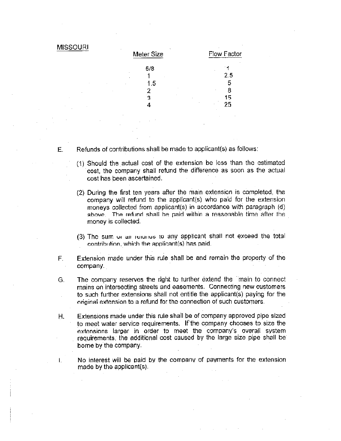| <b>MISSOURI</b> | Meter Size | Flow Factor |
|-----------------|------------|-------------|
|                 | 5/8        |             |
|                 |            | 2.5         |
| ٠               | 1.5        | 5           |
|                 |            | 8           |
|                 | 3          | 15          |
|                 |            | 25          |

- $E.$  Refunds of contributions shall be made to applicant(s) as follows:
	- (1) Should the actual cost of the exter:sion be less than the estimated cost, the company shall refund the difference as soon as the actual cost has been ascertained.
	- (2) During the first ten years after the main extension is completed, the company will refund to the applicant(s) who paid for the extension moneys collected from applicant(s) in accordance with paragraph (d) above. The refund shall be paid within a reasonable time after the money is collected.
	- (3) The sum  $\alpha$  an result is to any applicant shall not exceed the total  $control$ , which the applicant(s) has paid.
- F. Extension made under this rule shall be and remain the property of the company.
- G The company reserves the right to tunher extend the main to connect mains on intersecting streets and easements. Connecting new customers to such further extensions shall not entitle the applicant(s) paying for the original extension to a refund for the connection of such customers.
- H. Extensions made under this rule shall be of company approved pipe sized to meet water service requirements. If'the company chooses to size the extensions larger in order to meet the company's overall system requirements, the additional cost caused by the large size pipe shall be borne by the company.
	- No interest will be paid by the company of payments for the extension made by the applicant $(s)$ .

L.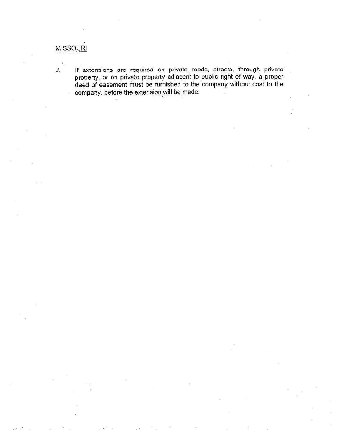# MISSOURI

If extensions are required on private roods, otrocto, through private J. property, or on private property adjacent to public right of way, a prope deed of easement must be furnished to the company without cost to the company, before the extension will be made.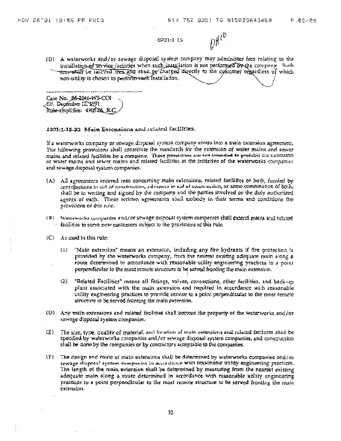$\eta f^{l^0}$ 

4901:1-15

(D) A waterworks and/or sewage disposal system company may administer fees relating to the installation of service facilities when such installation is not performed by the company. Such mercommalf be tail feed fees and shall be charged directly to the customer regardless of which non-utility is chosen to perform such installation.

Case No. 86-2046-WS-COI Eff. December 12, 1991 Rule-amplifies: 4905.86 R

### 4901:1-15-32 Main Extensions and related facilities.

If a waterworks company or sewage disposal system company enters into a main extension agreement, The following provisions shall constitute the standards for the extension of water mains and sewer mains and related facilities by a company. These provisions are not intended to prohibit the extension or water mains and sewer mains and related facilities at the initiative of the waterworks companies and sewage disposal system companies.

- (A) All agreements entered into concerning main extensions, related facilities or both, funded by contributions in aid of construction, advances in aid of construction, or some combination of both, shall be in writing and signed by the company and the parties involved or the duly authorized agents of each. These written agreements shall embody in their terms and conditions the provisions of this rule.
- (B) Waterworks companies and/or sewage disposal system companies shall extend mains and related  $\cdot$  -facilities to serve new customers subject to the provisions of this rule.
- $(C)$  As used in this rule:
	- $\{1\}$ "Main extension" means an extension, including any fire hydramts if fire protection is provided by the waterworks company, from the nearest existing adequate main along a route determined in accordance with reasonable utility engineering practices to a point perpendicular to the most remote structure to be served fronting the main extension.
	- "Related Facilities" means all fittings, valves, connections, other facilities, and back-up  $(2)$ plant associated with the main extension and required in accordance with reasonable utility engineering practices to provide service to a point perpendicular to the most remote structure to be served fronting the main extension.
- (D) Any main extensions and related facilities shall become the property of the waterworks and/or sewage disposal system companies.
- (E) The size, type, quality of material, and location of main extensions and related facilities shall be specified by waterworks companies and/or sewage disposal system companies, and construction shall be done by the companies or by contractors acceptable to the companies.
- (F) The design and route of main extensions shall be determined by waterworks companies and/or sewage disposal system companies in accordance with reasonable utility engineering practices. The length of the main extension shall be determined by measuring from the nearest existing adequate main along a route determined in accordance with reasonable utility engineering practices to a point perpendicular to the most remote structure to be served fronting the main extension.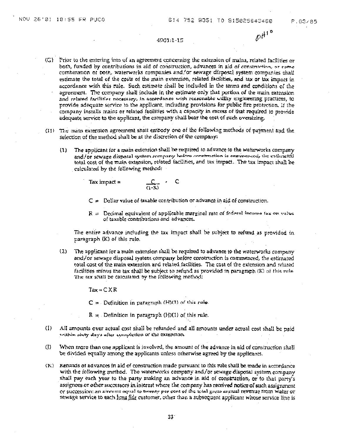### 4901-1-15

 $\rho\big)^{43}$ 

- (G) Prior to the entering into of an agreement concerning the extension of mains, related facilities or both, funded by contributions in aid of construction, advances in aid of construction, or come combination of both, waterworks companies and/or sewage disposal system companies shall estimate the total of the costs of the main extension, related facilities, and tax or tax impact in accordance with this rule. Such estimate shall be included in the terms and conditions of the agreement. The company shall include in the estimate only that portion of the main extension and related facilities necessary, in accordance with reasonable willity engineering practices, to provide adequate service to the applicant, including provisions for public fire protection. If the company installs mains or related facilities with a capacity in excess of that required to provide adequate service to the applicant, the company shall bear the cost of such oversizing.
- (II) The main extension agreement shall embody one of the following methods of payment and the selection of the method shall be at the discretion of the company:
	- The applicant for a main extension shall be required to advance to the waterworks company  $(1)$ and/or sewage disposal system company before construction is convinenced, the estimated total cost of the main extension, related facilities, and tax impact. The tax impact shall be calculated by the following method:

Tax impact  $\approx$ 

$$
\frac{C}{(1-R)} = C
$$

- $C =$  Dollar value of taxable contribution or advance in aid of construction.
- $R =$  Decimal equivalent of applicable marginal rate of federal income tax on value of taxable contributions and advances.

The entire advance including the tax impact shall be subject to refund as provided in paragraph (K) of this rule.

 $(2)$ The applicant for a main extension shall be required to advance to the waterworks company and/or sewage disposal system company before construction is commenced, the estimated total cost of the main extension and related facilities. The cost of the extension and related facilities minus the tax shall be subject to refund as provided in paragraph (K) of this rule The tax shall be calculated by the following method:

Tax≃CXR

 $C =$  Definition in paragraph (H)(1) of this rule.

 $R =$  Definition in paragraph (H)(I) of this rule.

- $(1)$ All amounts over actual cost shall be refunded and all amounts under actual cost shall be paid within sixty days after completion of the extension.
- $($ [) When more than one applicant is involved, the amount of the advance in aid of construction shall be divided equally among the applicants unless otherwise agreed by the applicants.
- (K) Refunds of advances in aid of construction made pursuant to this rule shall be made in accordance with the following method. The waterworks company and/or sewage disposal system company shall pay each year to the party making an advance in ald of construction, or to that party's assignees or other successors in interest where the company has received notice of such assignment or succession: an amount equal to twenty per cent of the total gross annual revenue from water or sewage service to each <u>bong fide</u> customer, other than a subsequent applicant whose service line is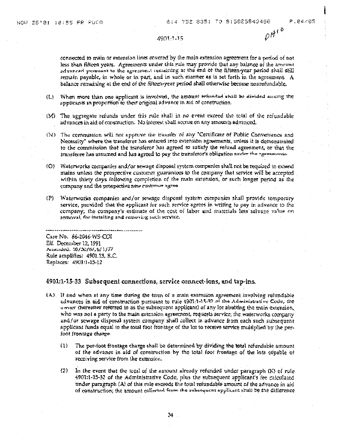$\rho H^{10}$ 

### 4901:1-15

connected to main or extension lines covered by the main extension agreement for a pariod of not less than fifteen years. Agreements under this rule may provide that any balance of the amount advanced pursuant to the agreement remaining at the end of the fifteen-year period shall still remain payable, in whole or in part, and in such manner as is set forth in the agreement. A balance remaining at the end of the fifteen-year period shall otherwise become nonrefundable.

- When more than one applicant is involved, the amount refunded shall be divided among the  $(L)$ applicants in proportion to their original advance in aid of construction.
- (M). The aggregate refunds under this rule shall in no event exceed the total of the refundable advances in aid of construction. No interest shall accrue on any amounts advanced.
- (N) The commission will not approve the transfer of any "Certificate of Public Convenience and Necessity" where the transferor has entered into extension agreements, unless it is demonstrated to the commission that the transferor has agreed to satisfy the refund agreement, or that the transferge has assumed and has agreed to pay the transferor's obligation under the agreements.
- (O) Waterworks companies and/or sewage disposal system companies shall not be required to extend mains unless the prospective customer guarantees to the company that service will be accepted within thirty days following completion of the main extension, or such longer period as the company and the prospective new customer agree.
- (P) Waterworks companies and/or sewage disposal system companies shall provide temporary service, provided that the applicant for such service agrees in writing to pay in advance to the company, the company's estimate of the cost of labor and materials less salvage value on removal, for installing and removing such service.

Case No. 86-2046-WS-COI Eff. December 12, 1991 Amended: 10/30/87,6/1/77 Rule amplifies: 4901.13, R.C. Replaces: 4901:1-15-12

### 4901:1-15-33 Subsequent connections, service connect-ions, and tap-ins.

- $(A)$ . If and when at any time during the term of a main extension agreement involving refundable advances in aid of construction pursuant to rule 4901:1-15-37 of the Administrative Code, the owner thereatier referred to as the subsequent applicant) of any lot abutting the main extension. who was not a party to the main extension agreement, requests service; the waterworks company and/or sewage disposal system company shall collect in advance from each such subsequent applicant funds equal to the total foot frontage of the lot to receive service multiplied by the perfoot frontage charge.
	- The per-foot frontage charge shall be determined by dividing the total refundable amount  $(1)$ of the advance in ald of construction by the total foot frontage of the lots capable of receiving service from the extension.
	- In the event that the total of the amount already refunded under paragraph (K) of rule  $(2)$ 4901:1-15-32 of the Administrative Code, plus the subsequent applicant's fee calculated under paragraph (A) of this rule exceeds the total refundable amount of the advance in aid of construction; the amount collected from the subsequent applicant shall be the difference